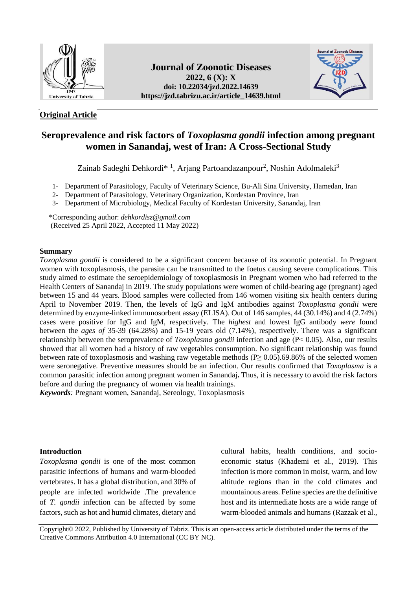

## **Original Article**

## **Journal of Zoonotic Diseases 2022, 6 (X): X doi: [10.22034/jzd.2022.14639](https://dx.doi.org/10.22034/jzd.2022.14639) https://jzd.tabrizu.ac.ir/article\_14639.html**



# **Seroprevalence and risk factors of** *Toxoplasma gondii* **infection among pregnant women in Sanandaj, west of Iran: A Cross-Sectional Study**

Zainab Sadeghi Dehkordi\*<sup>1</sup>, Arjang Partoandazanpour<sup>2</sup>, Noshin Adolmaleki<sup>3</sup>

- 1- Department of Parasitology, Faculty of Veterinary Science, Bu-Ali Sina University, Hamedan, Iran
- 2- Department of Parasitology, Veterinary Organization, Kordestan Province, Iran
- 3- Department of Microbiology, Medical Faculty of Kordestan University, Sanandaj, Iran

 \*Corresponding author: *[dehkordisz@gmail.com](mailto:dehkordisz@gmail.com)* (Received 25 April 2022, Accepted 11 May 2022)

## **Summary**

*Toxoplasma gondii* is considered to be a significant concern because of its zoonotic potential. In Pregnant women with toxoplasmosis, the parasite can be transmitted to the foetus causing severe complications. This study aimed to estimate the seroepidemiology of toxoplasmosis in Pregnant women who had referred to the Health Centers of Sanandaj in 2019. The study populations were women of child-bearing age (pregnant) aged between 15 and 44 years. Blood samples were collected from 146 women visiting six health centers during April to November 2019. Then, the levels of IgG and IgM antibodies against *Toxoplasma gondii* were determined by enzyme-linked immunosorbent assay (ELISA). Out of 146 samples, 44 (30.14%) and 4 (2.74%) cases were positive for IgG and IgM, respectively. The *highest* and lowest IgG antibody *were* found between the *ages of* 35-39 (64.28%) and 15-19 years old (7.14%), respectively. There was a significant relationship between the seroprevalence of *Toxoplasma gondii* infection and age (P˂ 0.05). Also, our results showed that all women had a history of raw vegetables consumption. No significant relationship was found between rate of toxoplasmosis and washing raw vegetable methods  $(P \ge 0.05)$ .69.86% of the selected women were seronegative. Preventive measures should be an infection. Our results confirmed that *Toxoplasma* is a common parasitic infection among pregnant women in Sanandaj**.** Thus, it is necessary to avoid the risk factors before and during the pregnancy of women via health trainings.

*Keywords:* Pregnant women, Sanandaj, Sereology, Toxoplasmosis

## **Introduction**

*Toxoplasma gondii* is one of the most common parasitic infections of humans and warm-blooded vertebrates. It has a global distribution, and 30% of people are infected worldwide .The prevalence of *T. gondii* infection can be affected by some factors, such as hot and humid climates, dietary and cultural habits, health conditions, and socioeconomic status [\(Khademi](https://www.ncbi.nlm.nih.gov/pubmed/?term=KHADEMI%20SZ%5BAuthor%5D&cauthor=true&cauthor_uid=31123482) et al., 2019). This infection is more common in moist, warm, and low altitude regions than in the cold climates and mountainous areas. Feline species are the definitive host and its intermediate hosts are a wide range of warm-blooded animals and humans (Razzak et al.,

Copyright© 2022, Published by University of Tabriz. This is an open-access article distributed under the terms of the Creative Commons Attribution 4.0 International (CC BY NC).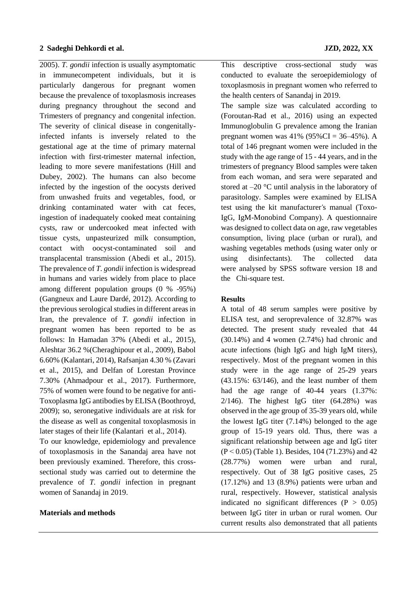2005). *T. gondii* infection is usually asymptomatic in immunecompetent individuals, but it is particularly dangerous for pregnant women because the prevalence of [toxoplasmosis](https://www.sciencedirect.com/topics/medicine-and-dentistry/toxoplasmosis) increases during pregnancy throughout the second and Trimesters of pregnancy and congenital infection. The severity of clinical disease in congenitallyinfected infants is inversely related to the gestational age at the time of primary maternal infection with first-trimester maternal infection, leading to more severe manifestations (Hill and Dubey, 2002). The humans can also become infected by the ingestion of the oocysts derived from unwashed fruits and vegetables, food, or drinking contaminated water with cat feces, ingestion of inadequately cooked meat containing cysts, raw or undercooked meat infected with tissue cysts, unpasteurized milk consumption, contact with oocyst-contaminated soil and transplacental transmission (Abedi et al., 2015). The prevalence of *T. gondii* infection is widespread in humans and varies widely from place to place among different population groups (0 % -95%) (Gangneux and Laure Dardé, 2012). According to the previous serological studies in different areas in Iran, the prevalence of *T. gondii* infection in pregnant women has been reported to be as follows: In Hamadan 37% (Abedi et al., 2015), Aleshtar 36.2 %(Cheraghipour et al., 2009), Babol 6.60% (Kalantari, 2014), Rafsanjan 4.30 % (Zavari et al., 2015), and Delfan of Lorestan Province 7.30% (Ahmadpour et al., 2017). Furthermore, 75% of women were found to be negative for anti-Toxoplasma IgG antibodies by ELISA (Boothroyd, 2009); so, seronegative individuals are at risk for the disease as well as congenital toxoplasmosis in later stages of their life [\(Kalantari](https://jhsss.sums.ac.ir/?_action=article&au=251639&_au=Mohsen++Kalantari) et al., 2014).

To our knowledge, epidemiology and prevalence of toxoplasmosis in the Sanandaj area have not been previously examined. Therefore, this crosssectional study was carried out to determine the prevalence of *T. gondii* infection in pregnant women of Sanandaj in 2019.

## **Materials and methods**

This descriptive cross-sectional study was conducted to evaluate the seroepidemiology of toxoplasmosis in pregnant women who referred to the health centers of Sanandaj in 2019.

The sample size was calculated according to (Foroutan-Rad et al., 2016) using an expected Immunoglobulin G prevalence among the Iranian pregnant women was  $41\%$  (95%CI = 36–45%). A total of 146 pregnant women were included in the study with the age range of 15 - 44 years, and in the trimesters of pregnancy Blood samples were taken from each woman, and sera were separated and stored at –20 °C until analysis in the laboratory of parasitology. Samples were examined by ELISA test using the kit manufacturer's manual (Toxo-IgG, IgM-Monobind Company). A questionnaire was designed to collect data on age, raw vegetables consumption, living place (urban or rural), and washing vegetables methods (using water only or using disinfectants). The collected data were analysed by SPSS software version 18 and the Chi-square test.

## **Results**

A total of 48 serum samples were positive by ELISA test, and seroprevalence of 32.87% was detected. The present study revealed that 44 (30.14%) and 4 women (2.74%) had chronic and acute infections (high IgG and high IgM titers), respectively. Most of the pregnant women in this study were in the age range of 25-29 years (43.15%: 63/146), and the least number of them had the age range of 40-44 years (1.37%:  $2/146$ ). The highest IgG titer (64.28%) was observed in the age group of 35-39 years old, while the lowest IgG titer (7.14%) belonged to the age group of 15-19 years old. Thus, there was a significant relationship between age and IgG titer  $(P < 0.05)$  (Table 1). Besides, 104 (71.23%) and 42 (28.77%) women were urban and rural, respectively. Out of 38 IgG positive cases, 25 (17.12%) and 13 (8.9%) patients were urban and rural, respectively. However, statistical analysis indicated no significant differences ( $P > 0.05$ ) between IgG titer in urban or rural women. Our current results also demonstrated that all patients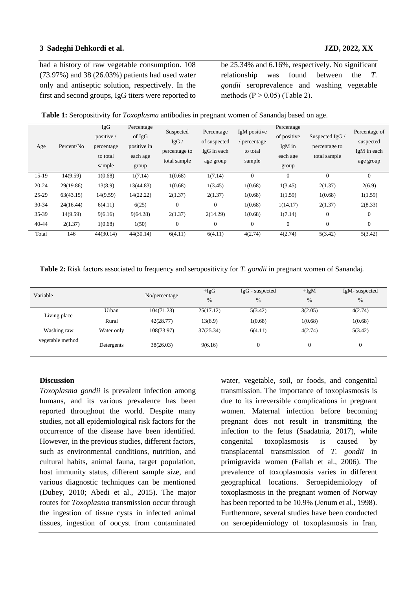#### **3 Sadeghi Dehkordi et al. JZD, 2022, XX**

had a history of raw vegetable consumption. 108 (73.97%) and 38 (26.03%) patients had used water only and antiseptic solution, respectively. In the first and second groups, IgG titers were reported to

be 25.34% and 6.16%, respectively. No significant relationship was found between the *T. gondii* seroprevalence and washing vegetable methods  $(P > 0.05)$  (Table 2).

| Table 1: Seropositivity for <i>Toxoplasma</i> antibodies in pregnant women of Sanandaj based on age. |  |  |
|------------------------------------------------------------------------------------------------------|--|--|
|------------------------------------------------------------------------------------------------------|--|--|

| Age       | Percent/No | <b>IgG</b><br>positive /<br>percentage<br>to total<br>sample | Percentage<br>of IgG<br>positive in<br>each age<br>group | Suspected<br>IgG/<br>percentage to<br>total sample | Percentage<br>of suspected<br>IgG in each<br>age group | IgM positive<br>percentage<br>to total<br>sample | Percentage<br>of positive<br>IgM in<br>each age<br>group | Suspected IgG /<br>percentage to<br>total sample | Percentage of<br>suspected<br>IgM in each<br>age group |
|-----------|------------|--------------------------------------------------------------|----------------------------------------------------------|----------------------------------------------------|--------------------------------------------------------|--------------------------------------------------|----------------------------------------------------------|--------------------------------------------------|--------------------------------------------------------|
| $15-19$   | 14(9.59)   | 1(0.68)                                                      | 1(7.14)                                                  | 1(0.68)                                            | 1(7.14)                                                | $\mathbf{0}$                                     | $\overline{0}$                                           | $\overline{0}$                                   | $\Omega$                                               |
| $20 - 24$ | 29(19.86)  | 13(8.9)                                                      | 13(44.83)                                                | 1(0.68)                                            | 1(3.45)                                                | 1(0.68)                                          | 1(3.45)                                                  | 2(1.37)                                          | 2(6.9)                                                 |
| $25-29$   | 63(43.15)  | 14(9.59)                                                     | 14(22.22)                                                | 2(1.37)                                            | 2(1.37)                                                | 1(0.68)                                          | 1(1.59)                                                  | 1(0.68)                                          | 1(1.59)                                                |
| 30-34     | 24(16.44)  | 6(4.11)                                                      | 6(25)                                                    | $\overline{0}$                                     | $\theta$                                               | 1(0.68)                                          | 1(14.17)                                                 | 2(1.37)                                          | 2(8.33)                                                |
| 35-39     | 14(9.59)   | 9(6.16)                                                      | 9(64.28)                                                 | 2(1.37)                                            | 2(14.29)                                               | 1(0.68)                                          | 1(7.14)                                                  | $\mathbf{0}$                                     | $\overline{0}$                                         |
| $40 - 44$ | 2(1.37)    | 1(0.68)                                                      | 1(50)                                                    | $\overline{0}$                                     | $\theta$                                               | $\mathbf{0}$                                     | $\theta$                                                 | $\boldsymbol{0}$                                 | $\overline{0}$                                         |
| Total     | 146        | 44(30.14)                                                    | 44(30.14)                                                | 6(4.11)                                            | 6(4.11)                                                | 4(2.74)                                          | 4(2.74)                                                  | 5(3.42)                                          | 5(3.42)                                                |

**Table 2:** Risk factors associated to frequency and seropositivity for *T. gondii* in pregnant women of Sanandaj.

| Variable         |            | No/percentage | $+IgG$<br>$\frac{0}{0}$ | $IgG$ - suspected<br>$\frac{0}{0}$ | $+IgM$<br>$\frac{0}{0}$ | IgM-suspected<br>$\frac{0}{0}$ |
|------------------|------------|---------------|-------------------------|------------------------------------|-------------------------|--------------------------------|
|                  | Urban      | 104(71.23)    | 25(17.12)               | 5(3.42)                            | 3(2.05)                 | 4(2.74)                        |
| Living place     | Rural      | 42(28.77)     | 13(8.9)                 | 1(0.68)                            | 1(0.68)                 | 1(0.68)                        |
| Washing raw      | Water only | 108(73.97)    | 37(25.34)               | 6(4.11)                            | 4(2.74)                 | 5(3.42)                        |
| vegetable method | Detergents | 38(26.03)     | 9(6.16)                 | $\theta$                           | $\theta$                | 0                              |

#### **Discussion**

*Toxoplasma gondii* is prevalent infection among humans, and its various prevalence has been reported throughout the world. Despite many studies, not all epidemiological risk factors for the occurrence of the disease have been identified. However, in the previous studies, different factors, such as environmental conditions, nutrition, and cultural habits, animal fauna, target population, host immunity status, different sample size, and various diagnostic techniques can be mentioned (Dubey, 2010; Abedi et al., 2015). The major routes for *Toxoplasma* transmission occur through the ingestion of tissue cysts in infected animal tissues, ingestion of oocyst from contaminated

water, vegetable, soil, or foods, and congenital transmission. The importance of toxoplasmosis is due to its irreversible complications in pregnant women. Maternal infection before becoming pregnant does not result in transmitting the infection to the fetus [\(Saadatnia,](https://www.ncbi.nlm.nih.gov/pmc/articles/PMC5153514/#B28) 2017), while congenital toxoplasmosis is caused by transplacental transmission of *T. gondii* in primigravida women (Fallah et al., 2006). The prevalence of toxoplasmosis varies in different geographical locations. Seroepidemiology of toxoplasmosis in the pregnant women of Norway has been reported to be 10.9% (Jenum et al., 1998). Furthermore, several studies have been conducted on seroepidemiology of toxoplasmosis in Iran,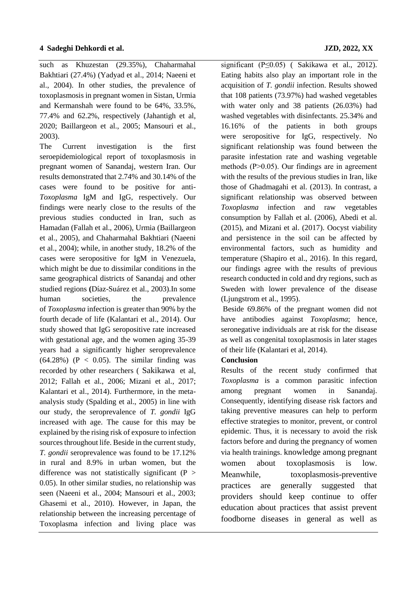such as Khuzestan (29.35%), Chaharmahal Bakhtiari (27.4%) (Yadyad et al., 2014; Naeeni et al., 2004). In other studies, the prevalence of toxoplasmosis in pregnant women in Sistan, Urmia and Kermanshah were found to be 64%, 33.5%, 77.4% and 62.2%, respectively (Jahantigh et al,

2020; Baillargeon et al., 2005; Mansouri et al.,

2003). The Current investigation is the first seroepidemiological report of toxoplasmosis in pregnant women of Sanandaj, western Iran. Our results demonstrated that 2.74% and 30.14% of the cases were found to be positive for anti-*Toxoplasma* IgM and IgG, respectively. Our findings were nearly close to the results of the previous studies conducted in Iran, such as Hamadan (Fallah et al., 2006), Urmia (Baillargeon et al., 2005), and Chaharmahal Bakhtiari (Naeeni et al., 2004); while, in another study, 18.2% of the cases were seropositive for IgM in Venezuela, which might be due to dissimilar conditions in the same geographical districts of Sanandaj and other studied regions **(**Díaz-Suárez et al., 2003).In some human societies, the prevalence of *Toxoplasma* infection is greater than 90% by the fourth decade of life (Kalantari et al., 2014). Our study showed that IgG seropositive rate increased with gestational age, and the women aging 35-39 years had a significantly higher seroprevalence  $(64.28\%)$  (P < 0.05). The similar finding was recorded by other researchers ( [Sakikawa](https://pubmed.ncbi.nlm.nih.gov/?term=Sakikawa+M&cauthor_id=22205659) et al, 2012; Fallah et al., 2006; Mizani et al., 2017; Kalantari et al., 2014). Furthermore, in the metaanalysis study (Spalding et al., 2005) in line with our study, the seroprevalence of *T. gondii* IgG increased with age. The cause for this may be explained by the rising risk of exposure to infection sources throughout life. Beside in the current study, *T. gondii* seroprevalence was found to be 17.12% in rural and 8.9% in urban women, but the difference was not statistically significant  $(P >$ 0.05). In other similar studies, no relationship was seen (Naeeni et al., 2004; Mansouri et al., 2003; Ghasemi et al., 2010). However, in Japan, the relationship between the increasing percentage of Toxoplasma infection and living place was

significant (P≤0.05) ( Sakikawa et al., 2012). Eating habits also play an important role in the acquisition of *T. gondii* infection. Results showed that 108 patients (73.97%) had washed vegetables with water only and 38 patients (26.03%) had washed vegetables with disinfectants. 25.34% and 16.16% of the patients in both groups were seropositive for IgG, respectively. No significant relationship was found between the parasite infestation rate and washing vegetable methods  $(P>0.05)$ . Our findings are in agreement with the results of the previous studies in Iran, like those of Ghadmagahi et al. (2013). In contrast, a significant relationship was observed between *Toxoplasma* infection and raw vegetables consumption by Fallah et al. (2006), Abedi et al. (2015), and Mizani et al. (2017). Oocyst viability and persistence in the soil can be affected by environmental factors, such as humidity and temperature (Shapiro et al., 2016). In this regard, our findings agree with the results of previous research conducted in cold and dry regions, such as Sweden with lower prevalence of the disease (Ljungstrom et al., 1995).

Beside 69.86% of the pregnant women did not have antibodies against *Toxoplasma*; hence, seronegative individuals are at risk for the disease as well as congenital toxoplasmosis in later stages of their life (Kalantari et al, 2014).

## **Conclusion**

Results of the recent study confirmed that *Toxoplasma* is a common parasitic infection among pregnant women in Sanandaj. Consequently, identifying disease risk factors and taking preventive measures can help to perform effective strategies to monitor, prevent, or control epidemic. Thus, it is necessary to avoid the risk factors before and during the pregnancy of women via health trainings. knowledge among pregnant women about toxoplasmosis is low. Meanwhile, toxoplasmosis-preventive practices are generally suggested that providers should keep continue to offer education about practices that assist prevent foodborne diseases in general as well as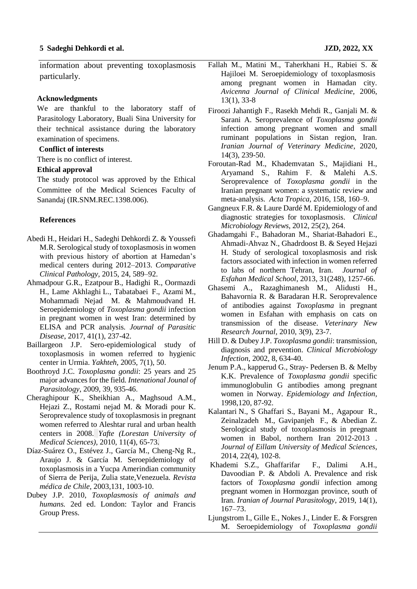information about preventing toxoplasmosis particularly.

#### **Acknowledgments**

We are thankful to the laboratory staff of Parasitology Laboratory, Buali Sina University for their technical assistance during the laboratory examination of specimens.

#### **Conflict of interests**

There is no conflict of interest.

#### **Ethical approval**

The study protocol was approved by the Ethical Committee of the Medical Sciences Faculty of Sanandaj (IR.SNM.REC.1398.006).

#### **References**

- Abedi H., Heidari H., Sadeghi Dehkordi Z. & Youssefi M.R. Serological study of toxoplasmosis in women with previous history of abortion at Hamedan's medical centers during 2012–2013. *Comparative Clinical Pathology,* 2015, 24, 589–92.
- Ahmadpour G.R., [Ezatpour](https://pubmed.ncbi.nlm.nih.gov/?term=Ezatpour+B&cauthor_id=28316418) [B., Hadighi](https://pubmed.ncbi.nlm.nih.gov/?term=Hadighi+R&cauthor_id=28316418) [R., Oormazdi](https://pubmed.ncbi.nlm.nih.gov/?term=Oormazdi+H&cauthor_id=28316418) [H., Lame Akhlaghi](https://pubmed.ncbi.nlm.nih.gov/?term=Akhlaghi+L&cauthor_id=28316418) [L., Tabatabaei](https://pubmed.ncbi.nlm.nih.gov/?term=Tabatabaei+F&cauthor_id=28316418) F., [Azami](https://pubmed.ncbi.nlm.nih.gov/?term=Azami+M&cauthor_id=28316418) M., [Mohammadi Nejad](https://pubmed.ncbi.nlm.nih.gov/?term=Nejad+MM&cauthor_id=28316418) M. & [Mahmoudvand](https://pubmed.ncbi.nlm.nih.gov/?term=Mahmoudvand+H&cauthor_id=28316418) H. Seroepidemiology of *Toxoplasma gondii* infection in pregnant women in west Iran: determined by ELISA and PCR analysis*. Journal of Parasitic Disease*, 2017, 41(1), 237-42.
- Baillargeon J.P. Sero-epidemiological study of toxoplasmosis in women referred to hygienic center in Urmia. *Yakhteh,* 2005, 7(1), 50.
- Boothroyd J.C. *Toxoplasma gondii*: 25 years and 25 major advances for the field. *Intenational Jounal of Parasitology*, 2009, 39, 935-46.
- [Cheraghipour](http://yafte.lums.ac.ir/search.php?sid=1&slc_lang=en&auth=Cheraghi+pour) K., [Sheikhian](http://yafte.lums.ac.ir/search.php?sid=1&slc_lang=en&auth=Sheikhian) A., [Maghsoud](http://yafte.lums.ac.ir/search.php?sid=1&slc_lang=en&auth=Maghsoud) A.M., [Hejazi](http://yafte.lums.ac.ir/search.php?sid=1&slc_lang=en&auth=Hejazi) Z., [Rostami](http://yafte.lums.ac.ir/search.php?sid=1&slc_lang=en&auth=Rostami+nejad) nejad M. & [Moradi](http://yafte.lums.ac.ir/search.php?sid=1&slc_lang=en&auth=moradi+pour) pour K. [Seroprevalence](http://yafte.lums.ac.ir/article-1-178-en.pdf) study of toxoplasmosis in pregnant women referred to [Aleshtar](http://yafte.lums.ac.ir/article-1-178-en.pdf) rural and urban health [centers](http://yafte.lums.ac.ir/article-1-178-en.pdf) in 2008. *Yafte [\(Lorestan University of](http://yafte.lums.ac.ir/browse.php?mag_id=15&slc_lang=en&sid=1)  [Medical Sciences\)](http://yafte.lums.ac.ir/browse.php?mag_id=15&slc_lang=en&sid=1)*, 2010, 11(4), 65-73.
- Díaz-Suárez O., Estévez J., García M., Cheng-Ng R., Araujo J. & García M. Seroepidemiology of toxoplasmosis in a Yucpa Amerindian community of Sierra de Perija, Zulia state,Venezuela. *[Revista](https://www.scielo.cl/scielo.php?script=sci_serial&pid=0034-9887)  médica de Chile,* [2003,131, 1003-10.](https://www.scielo.cl/scielo.php?script=sci_serial&pid=0034-9887)
- Dubey J.P. 2010, *Toxoplasmosis of animals and humans.* 2ed ed. London: Taylor and Francis Group Press.
- Fallah M., Matini M., Taherkhani H., Rabiei S. & Hajiloei M. Seroepidemiology of toxoplasmosis among pregnant women in Hamadan city. *Avicenna Journal of Clinical Medicine,* 2006, 13(1), 33-8
- Firoozi Jahantigh F., [Rasekh](https://www.sid.ir/en/Journal/Searchpaper.Aspx?Writer=426511) Mehdi R., Ganjali M. [&](https://www.sid.ir/en/Journal/Searchpaper.Aspx?Writer=911317) [Sarani](https://www.sid.ir/en/Journal/Searchpaper.Aspx?Writer=911317) A. Seroprevalence of *Toxoplasma gondii* infection among pregnant women and small ruminant populations in Sistan region, Iran*. Iranian Journal of Veterinary Medicine*, 2020, 14(3), 239-50.
- Foroutan-Rad M., Khademvatan S., Majidiani H., Aryamand S., Rahim F. & Malehi A.S. Seroprevalence of *Toxoplasma gondii* in the Iranian pregnant women: a systematic review and meta-analysis. *Acta Tropica,* 2016, 158, 160–9.
- [Gangneux](https://www.ncbi.nlm.nih.gov/pubmed/?term=Robert-Gangneux%20F%5BAuthor%5D&cauthor=true&cauthor_uid=22491772) F.R. & [Laure Dardé](https://www.ncbi.nlm.nih.gov/pubmed/?term=Dard%26%23x000e9%3B%20ML%5BAuthor%5D&cauthor=true&cauthor_uid=22491772) M. Epidemiology of and diagnostic strategies for toxoplasmosis. *Clinical Microbiology Reviews*, 2012, 25(2), 264.
- Ghadamgahi F., Bahadoran M., Shariat-Bahadori E., Ahmadi-Ahvaz N., Ghadrdoost B. & Seyed Hejazi H*.* Study of serological toxoplasmosis and risk factors associated with infection in women referred to labs of northern Tehran, Iran. *Journal of Esfahan Medical School*, 2013, 31(248), 1257-66.
- Ghasemi A., Razaghimanesh M., Alidusti H., Bahavornia R. & Baradaran H.R. Seroprevalence of antibodies against *Toxoplasma* in pregnant women in Esfahan with emphasis on cats on transmission of the disease. *Veterinary New Research Journal,* 2010, 3(9), 23-7.
- Hill D. & Dubey J.P. *Toxoplasma gondii*: transmission, diagnosis and prevention. *Clinical Microbiology Infection*, 2002, 8, 634-40.
- Jenum P.A., kapperud G., Stray- Pedersen B. & Melby K.K. Prevalence of *Toxoplasma gondii* specific immunoglobulin G antibodies among pregnant women in Norway. *Epidemiology and Infection,*  1998,120, 87-92.
- [Kalantari](https://sjimu.medilam.ac.ir/search.php?sid=1&slc_lang=en&auth=Kalantari) N., S [Ghaffari](https://sjimu.medilam.ac.ir/search.php?sid=1&slc_lang=en&auth=Ghaffari) S., [Bayani](https://sjimu.medilam.ac.ir/search.php?sid=1&slc_lang=en&auth=Bayani) M., [Agapour](https://sjimu.medilam.ac.ir/search.php?sid=1&slc_lang=en&auth=Agapour) R., [Zeinalzadeh](https://sjimu.medilam.ac.ir/search.php?sid=1&slc_lang=en&auth=Zeinalzadeh) M., [Gavipanjeh](https://sjimu.medilam.ac.ir/search.php?sid=1&slc_lang=en&auth=Gavipanjeh) F., [&](https://sjimu.medilam.ac.ir/search.php?sid=1&slc_lang=en&auth=Abedian) [Abedian](https://sjimu.medilam.ac.ir/search.php?sid=1&slc_lang=en&auth=Abedian) Z. Serological study of [toxoplasmosis](https://sjimu.medilam.ac.ir/article-1-1287-en.pdf) in pregnant women in Babol, northern Iran [2012-2013](https://sjimu.medilam.ac.ir/article-1-1287-en.pdf) . *Journal of Eillam [University](https://sjimu.medilam.ac.ir/browse.php?mag_id=59&slc_lang=en&sid=1) of Medical Sciences*, 2014, 22(4), [102-8.](https://sjimu.medilam.ac.ir/browse.php?mag_id=59&slc_lang=en&sid=1)
- [Khademi](https://www.ncbi.nlm.nih.gov/pubmed/?term=KHADEMI%20SZ%5BAuthor%5D&cauthor=true&cauthor_uid=31123482) S.Z., Ghaffarifar F., [Dalimi](https://www.ncbi.nlm.nih.gov/pubmed/?term=Dalimi%20A%5BAuthor%5D&cauthor=true&cauthor_uid=31123482) A.H., Davoodian P. [& Abdoli](https://www.ncbi.nlm.nih.gov/pubmed/?term=ABDOLI%20A%5BAuthor%5D&cauthor=true&cauthor_uid=31123482) A. Prevalence and risk factors of *Toxoplasma gondii* infection among pregnant women in Hormozgan province, south of Iran. *Iranian of Journal Parasitology*, 2019, 14(1), 167–73.
- Ljungstrom I., Gille E., Nokes J., Linder E. & Forsgren M. Seroepidemiology of *Toxoplasma gondii*